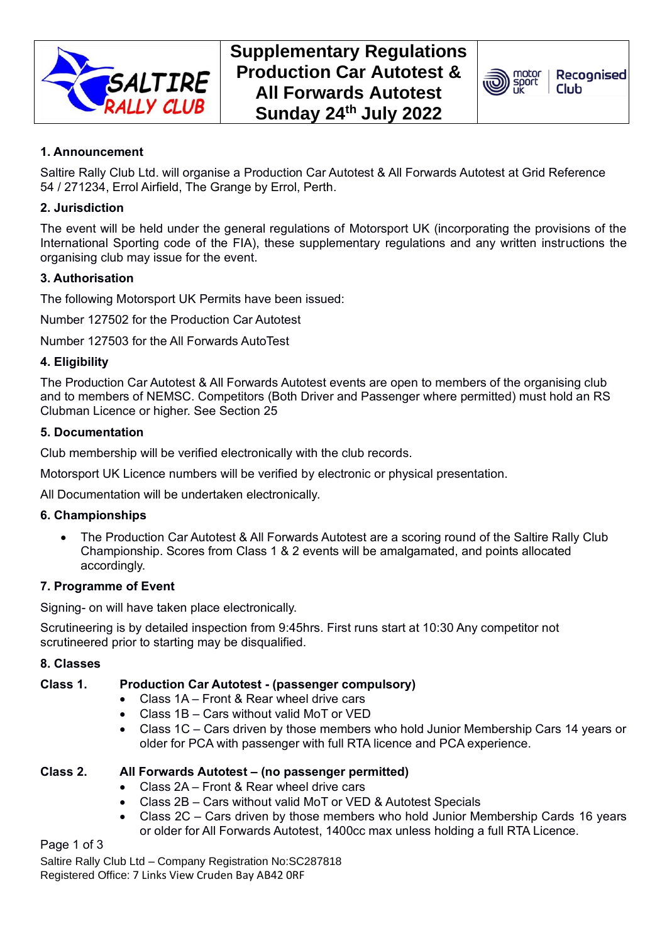



# **1. Announcement**

Saltire Rally Club Ltd. will organise a Production Car Autotest & All Forwards Autotest at Grid Reference 54 / 271234, Errol Airfield, The Grange by Errol, Perth.

# **2. Jurisdiction**

The event will be held under the general regulations of Motorsport UK (incorporating the provisions of the International Sporting code of the FIA), these supplementary regulations and any written instructions the organising club may issue for the event.

# **3. Authorisation**

The following Motorsport UK Permits have been issued:

Number 127502 for the Production Car Autotest

Number 127503 for the All Forwards AutoTest

# **4. Eligibility**

The Production Car Autotest & All Forwards Autotest events are open to members of the organising club and to members of NEMSC. Competitors (Both Driver and Passenger where permitted) must hold an RS Clubman Licence or higher. See Section 25

# **5. Documentation**

Club membership will be verified electronically with the club records.

Motorsport UK Licence numbers will be verified by electronic or physical presentation.

All Documentation will be undertaken electronically.

# **6. Championships**

• The Production Car Autotest & All Forwards Autotest are a scoring round of the Saltire Rally Club Championship. Scores from Class 1 & 2 events will be amalgamated, and points allocated accordingly.

# **7. Programme of Event**

Signing- on will have taken place electronically.

Scrutineering is by detailed inspection from 9:45hrs. First runs start at 10:30 Any competitor not scrutineered prior to starting may be disqualified.

# **8. Classes**

# **Class 1. Production Car Autotest - (passenger compulsory)**

- Class 1A Front & Rear wheel drive cars
- Class 1B Cars without valid MoT or VED
- Class 1C Cars driven by those members who hold Junior Membership Cars 14 years or older for PCA with passenger with full RTA licence and PCA experience.

# **Class 2. All Forwards Autotest – (no passenger permitted)**

- Class 2A Front & Rear wheel drive cars
- Class 2B Cars without valid MoT or VED & Autotest Specials
- Class 2C Cars driven by those members who hold Junior Membership Cards 16 years or older for All Forwards Autotest, 1400cc max unless holding a full RTA Licence.

Page 1 of 3

Saltire Rally Club Ltd – Company Registration No:SC287818 Registered Office: 7 Links View Cruden Bay AB42 0RF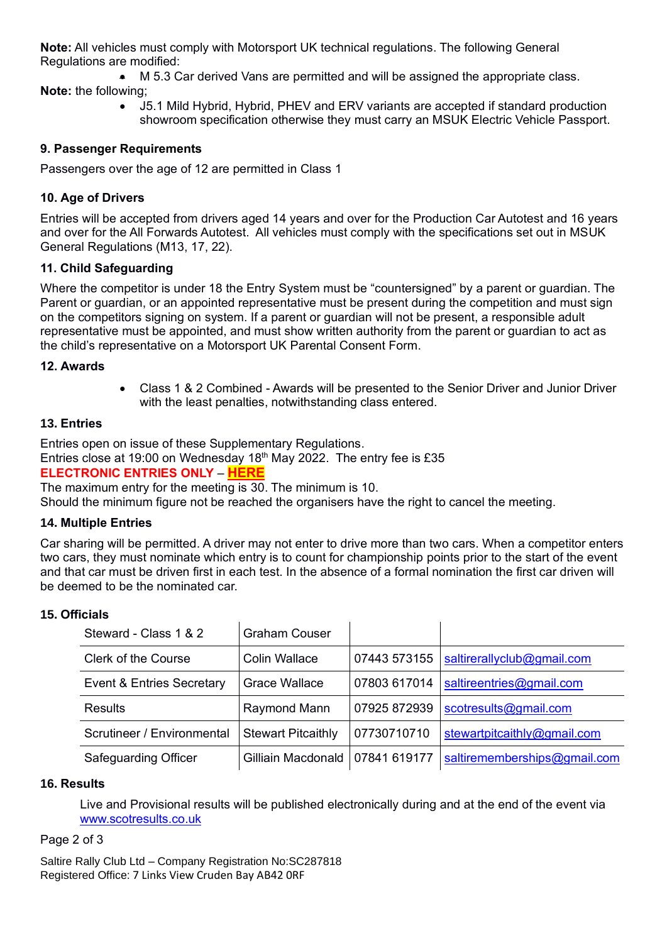**Note:** All vehicles must comply with Motorsport UK technical regulations. The following General Regulations are modified:

• M 5.3 Car derived Vans are permitted and will be assigned the appropriate class. **Note:** the following;

> • J5.1 Mild Hybrid, Hybrid, PHEV and ERV variants are accepted if standard production showroom specification otherwise they must carry an MSUK Electric Vehicle Passport.

# **9. Passenger Requirements**

Passengers over the age of 12 are permitted in Class 1

# **10. Age of Drivers**

Entries will be accepted from drivers aged 14 years and over for the Production Car Autotest and 16 years and over for the All Forwards Autotest. All vehicles must comply with the specifications set out in MSUK General Regulations (M13, 17, 22).

# **11. Child Safeguarding**

Where the competitor is under 18 the Entry System must be "countersigned" by a parent or guardian. The Parent or guardian, or an appointed representative must be present during the competition and must sign on the competitors signing on system. If a parent or guardian will not be present, a responsible adult representative must be appointed, and must show written authority from the parent or guardian to act as the child's representative on a Motorsport UK Parental Consent Form.

# **12. Awards**

• Class 1 & 2 Combined - Awards will be presented to the Senior Driver and Junior Driver with the least penalties, notwithstanding class entered.

# **13. Entries**

Entries open on issue of these Supplementary Regulations. Entries close at 19:00 on Wednesday 18<sup>th</sup> May 2022. The entry fee is £35

# **ELECTRONIC ENTRIES ONLY** – **[HERE](https://www.rallyscore.net/#/entry-form/2253?Summer-Production-Car-Autotest-All-Forwards-Autotest-Entry-Form)**

The maximum entry for the meeting is 30. The minimum is 10.

Should the minimum figure not be reached the organisers have the right to cancel the meeting.

# **14. Multiple Entries**

Car sharing will be permitted. A driver may not enter to drive more than two cars. When a competitor enters two cars, they must nominate which entry is to count for championship points prior to the start of the event and that car must be driven first in each test. In the absence of a formal nomination the first car driven will be deemed to be the nominated car.

#### **15. Officials**

| Steward - Class 1 & 2                | <b>Graham Couser</b>      |              |                              |
|--------------------------------------|---------------------------|--------------|------------------------------|
| <b>Clerk of the Course</b>           | <b>Colin Wallace</b>      | 07443 573155 | saltirerallyclub@gmail.com   |
| <b>Event &amp; Entries Secretary</b> | <b>Grace Wallace</b>      | 07803 617014 | saltireentries@gmail.com     |
| Results                              | Raymond Mann              | 07925 872939 | scotresults@gmail.com        |
| Scrutineer / Environmental           | <b>Stewart Pitcaithly</b> | 07730710710  | stewartpitcaithly@gmail.com  |
| <b>Safeguarding Officer</b>          | Gilliain Macdonald        | 07841 619177 | saltirememberships@gmail.com |

#### **16. Results**

Live and Provisional results will be published electronically during and at the end of the event via [www.scotresults.co.uk](http://www.scotresults.co.uk/)

#### Page 2 of 3

Saltire Rally Club Ltd – Company Registration No:SC287818 Registered Office: 7 Links View Cruden Bay AB42 0RF